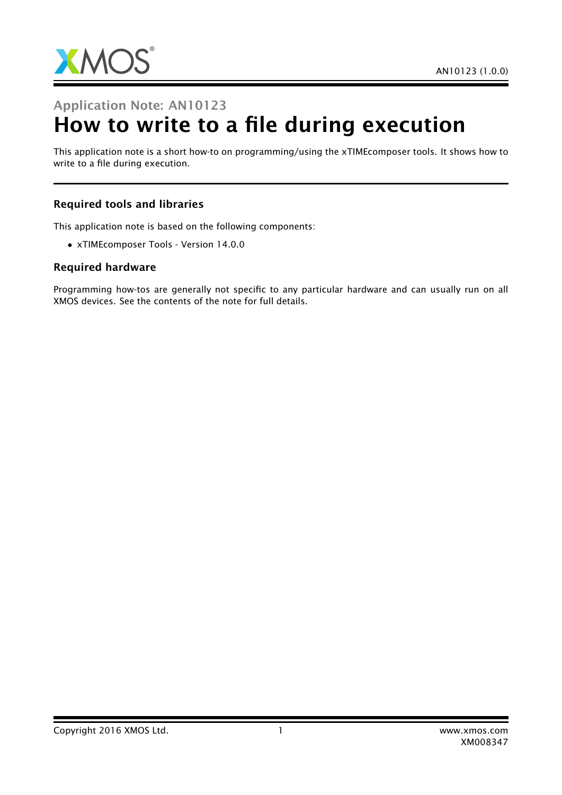

# Application Note: AN10123 How to write to a file during execution

This application note is a short how-to on programming/using the xTIMEcomposer tools. It shows how to write to a file during execution.

#### Required tools and libraries

This application note is based on the following components:

• xTIMEcomposer Tools - Version 14.0.0

#### Required hardware

Programming how-tos are generally not specific to any particular hardware and can usually run on all XMOS devices. See the contents of the note for full details.